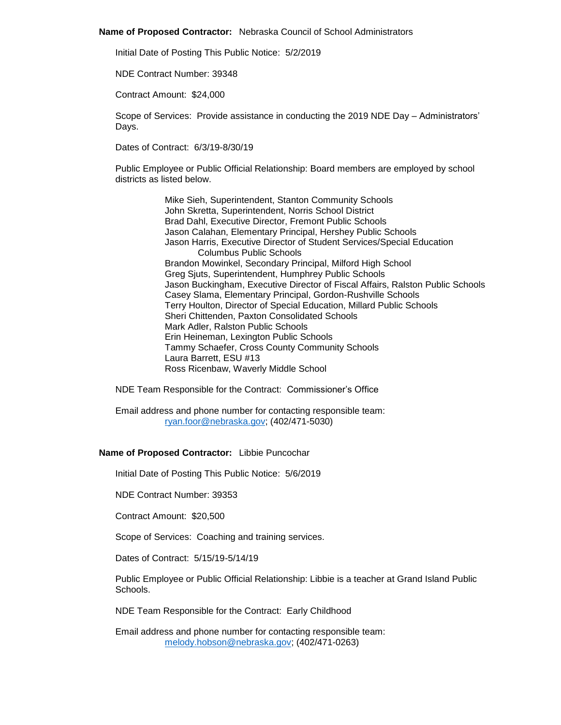#### **Name of Proposed Contractor:** Nebraska Council of School Administrators

Initial Date of Posting This Public Notice: 5/2/2019

NDE Contract Number: 39348

Contract Amount: \$24,000

Scope of Services: Provide assistance in conducting the 2019 NDE Day – Administrators' Days.

Dates of Contract: 6/3/19-8/30/19

Public Employee or Public Official Relationship: Board members are employed by school districts as listed below.

> Mike Sieh, Superintendent, Stanton Community Schools John Skretta, Superintendent, Norris School District Brad Dahl, Executive Director, Fremont Public Schools Jason Calahan, Elementary Principal, Hershey Public Schools Jason Harris, Executive Director of Student Services/Special Education Columbus Public Schools Brandon Mowinkel, Secondary Principal, Milford High School Greg Sjuts, Superintendent, Humphrey Public Schools Jason Buckingham, Executive Director of Fiscal Affairs, Ralston Public Schools Casey Slama, Elementary Principal, Gordon-Rushville Schools Terry Houlton, Director of Special Education, Millard Public Schools Sheri Chittenden, Paxton Consolidated Schools Mark Adler, Ralston Public Schools Erin Heineman, Lexington Public Schools Tammy Schaefer, Cross County Community Schools Laura Barrett, ESU #13 Ross Ricenbaw, Waverly Middle School

NDE Team Responsible for the Contract: Commissioner's Office

Email address and phone number for contacting responsible team: [ryan.foor@nebraska.gov;](mailto:ryan.foor@nebraska.gov) (402/471-5030)

#### **Name of Proposed Contractor:** Libbie Puncochar

Initial Date of Posting This Public Notice: 5/6/2019

NDE Contract Number: 39353

Contract Amount: \$20,500

Scope of Services: Coaching and training services.

Dates of Contract: 5/15/19-5/14/19

Public Employee or Public Official Relationship: Libbie is a teacher at Grand Island Public Schools.

NDE Team Responsible for the Contract: Early Childhood

Email address and phone number for contacting responsible team: [melody.hobson@nebraska.gov;](mailto:melody.hobson@nebraska.gov) (402/471-0263)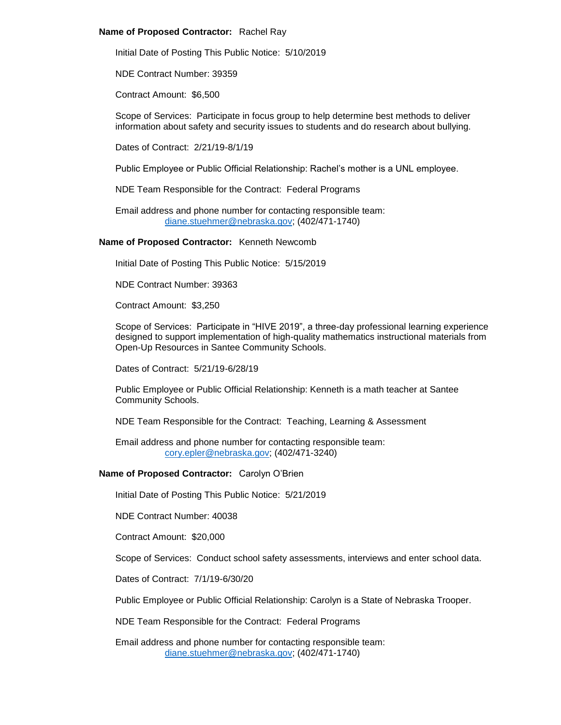## **Name of Proposed Contractor:** Rachel Ray

Initial Date of Posting This Public Notice: 5/10/2019

NDE Contract Number: 39359

Contract Amount: \$6,500

Scope of Services: Participate in focus group to help determine best methods to deliver information about safety and security issues to students and do research about bullying.

Dates of Contract: 2/21/19-8/1/19

Public Employee or Public Official Relationship: Rachel's mother is a UNL employee.

NDE Team Responsible for the Contract: Federal Programs

Email address and phone number for contacting responsible team: [diane.stuehmer@nebraska.gov;](mailto:diane.stuehmer@nebraska.gov) (402/471-1740)

**Name of Proposed Contractor:** Kenneth Newcomb

Initial Date of Posting This Public Notice: 5/15/2019

NDE Contract Number: 39363

Contract Amount: \$3,250

Scope of Services: Participate in "HIVE 2019", a three-day professional learning experience designed to support implementation of high-quality mathematics instructional materials from Open-Up Resources in Santee Community Schools.

Dates of Contract: 5/21/19-6/28/19

Public Employee or Public Official Relationship: Kenneth is a math teacher at Santee Community Schools.

NDE Team Responsible for the Contract: Teaching, Learning & Assessment

Email address and phone number for contacting responsible team: [cory.epler@nebraska.gov;](mailto:cory.epler@nebraska.gov) (402/471-3240)

# **Name of Proposed Contractor:** Carolyn O'Brien

Initial Date of Posting This Public Notice: 5/21/2019

NDE Contract Number: 40038

Contract Amount: \$20,000

Scope of Services: Conduct school safety assessments, interviews and enter school data.

Dates of Contract: 7/1/19-6/30/20

Public Employee or Public Official Relationship: Carolyn is a State of Nebraska Trooper.

NDE Team Responsible for the Contract: Federal Programs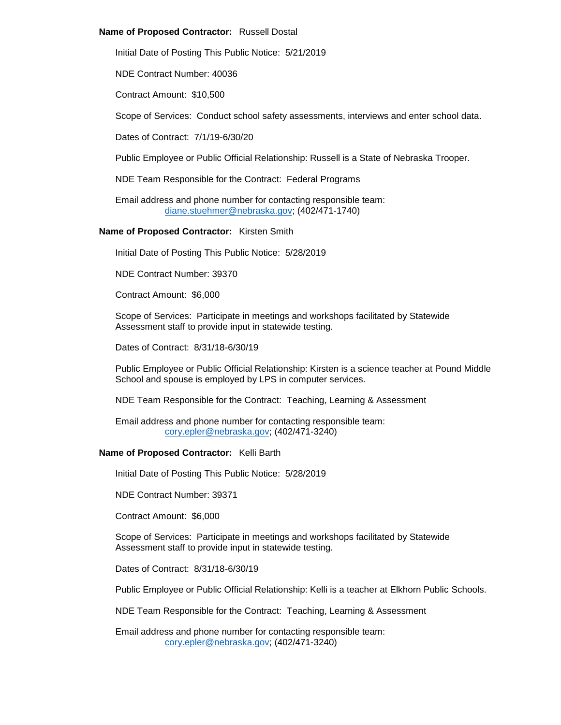## **Name of Proposed Contractor:** Russell Dostal

Initial Date of Posting This Public Notice: 5/21/2019

NDE Contract Number: 40036

Contract Amount: \$10,500

Scope of Services: Conduct school safety assessments, interviews and enter school data.

Dates of Contract: 7/1/19-6/30/20

Public Employee or Public Official Relationship: Russell is a State of Nebraska Trooper.

NDE Team Responsible for the Contract: Federal Programs

Email address and phone number for contacting responsible team: [diane.stuehmer@nebraska.gov;](mailto:diane.stuehmer@nebraska.gov) (402/471-1740)

## **Name of Proposed Contractor:** Kirsten Smith

Initial Date of Posting This Public Notice: 5/28/2019

NDE Contract Number: 39370

Contract Amount: \$6,000

Scope of Services: Participate in meetings and workshops facilitated by Statewide Assessment staff to provide input in statewide testing.

Dates of Contract: 8/31/18-6/30/19

Public Employee or Public Official Relationship: Kirsten is a science teacher at Pound Middle School and spouse is employed by LPS in computer services.

NDE Team Responsible for the Contract: Teaching, Learning & Assessment

Email address and phone number for contacting responsible team: [cory.epler@nebraska.gov;](mailto:cory.epler@nebraska.gov) (402/471-3240)

# **Name of Proposed Contractor:** Kelli Barth

Initial Date of Posting This Public Notice: 5/28/2019

NDE Contract Number: 39371

Contract Amount: \$6,000

Scope of Services: Participate in meetings and workshops facilitated by Statewide Assessment staff to provide input in statewide testing.

Dates of Contract: 8/31/18-6/30/19

Public Employee or Public Official Relationship: Kelli is a teacher at Elkhorn Public Schools.

NDE Team Responsible for the Contract: Teaching, Learning & Assessment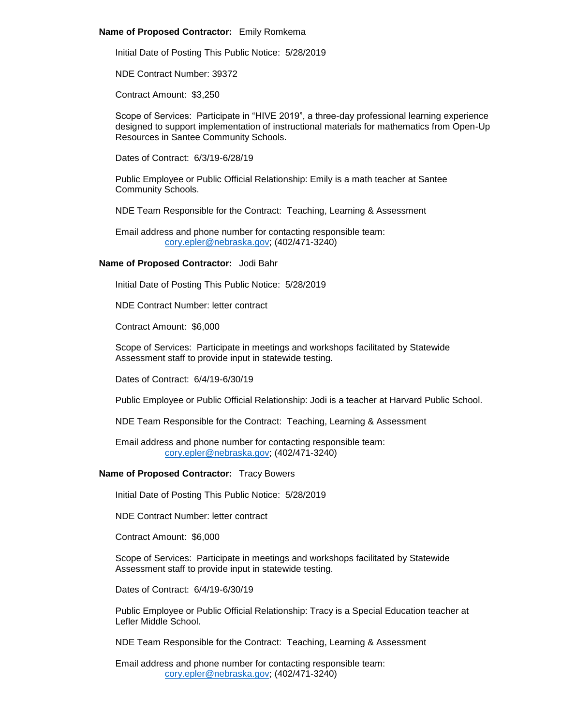### **Name of Proposed Contractor:** Emily Romkema

Initial Date of Posting This Public Notice: 5/28/2019

NDE Contract Number: 39372

Contract Amount: \$3,250

Scope of Services: Participate in "HIVE 2019", a three-day professional learning experience designed to support implementation of instructional materials for mathematics from Open-Up Resources in Santee Community Schools.

Dates of Contract: 6/3/19-6/28/19

Public Employee or Public Official Relationship: Emily is a math teacher at Santee Community Schools.

NDE Team Responsible for the Contract: Teaching, Learning & Assessment

Email address and phone number for contacting responsible team: [cory.epler@nebraska.gov;](mailto:cory.epler@nebraska.gov) (402/471-3240)

## **Name of Proposed Contractor:** Jodi Bahr

Initial Date of Posting This Public Notice: 5/28/2019

NDE Contract Number: letter contract

Contract Amount: \$6,000

Scope of Services: Participate in meetings and workshops facilitated by Statewide Assessment staff to provide input in statewide testing.

Dates of Contract: 6/4/19-6/30/19

Public Employee or Public Official Relationship: Jodi is a teacher at Harvard Public School.

NDE Team Responsible for the Contract: Teaching, Learning & Assessment

Email address and phone number for contacting responsible team: [cory.epler@nebraska.gov;](mailto:cory.epler@nebraska.gov) (402/471-3240)

# **Name of Proposed Contractor:** Tracy Bowers

Initial Date of Posting This Public Notice: 5/28/2019

NDE Contract Number: letter contract

Contract Amount: \$6,000

Scope of Services: Participate in meetings and workshops facilitated by Statewide Assessment staff to provide input in statewide testing.

Dates of Contract: 6/4/19-6/30/19

Public Employee or Public Official Relationship: Tracy is a Special Education teacher at Lefler Middle School.

NDE Team Responsible for the Contract: Teaching, Learning & Assessment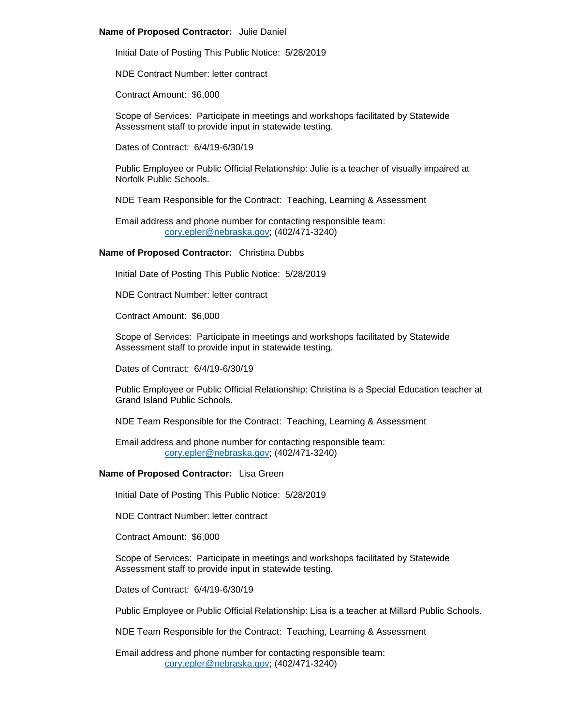### **Name of Proposed Contractor:** Julie Daniel

Initial Date of Posting This Public Notice: 5/28/2019

NDE Contract Number: letter contract

Contract Amount: \$6,000

Scope of Services: Participate in meetings and workshops facilitated by Statewide Assessment staff to provide input in statewide testing.

Dates of Contract: 6/4/19-6/30/19

Public Employee or Public Official Relationship: Julie is a teacher of visually impaired at Norfolk Public Schools.

NDE Team Responsible for the Contract: Teaching, Learning & Assessment

Email address and phone number for contacting responsible team: [cory.epler@nebraska.gov;](mailto:cory.epler@nebraska.gov) (402/471-3240)

## **Name of Proposed Contractor:** Christina Dubbs

Initial Date of Posting This Public Notice: 5/28/2019

NDE Contract Number: letter contract

Contract Amount: \$6,000

Scope of Services: Participate in meetings and workshops facilitated by Statewide Assessment staff to provide input in statewide testing.

Dates of Contract: 6/4/19-6/30/19

Public Employee or Public Official Relationship: Christina is a Special Education teacher at Grand Island Public Schools.

NDE Team Responsible for the Contract: Teaching, Learning & Assessment

Email address and phone number for contacting responsible team: [cory.epler@nebraska.gov;](mailto:cory.epler@nebraska.gov) (402/471-3240)

# **Name of Proposed Contractor:** Lisa Green

Initial Date of Posting This Public Notice: 5/28/2019

NDE Contract Number: letter contract

Contract Amount: \$6,000

Scope of Services: Participate in meetings and workshops facilitated by Statewide Assessment staff to provide input in statewide testing.

Dates of Contract: 6/4/19-6/30/19

Public Employee or Public Official Relationship: Lisa is a teacher at Millard Public Schools.

NDE Team Responsible for the Contract: Teaching, Learning & Assessment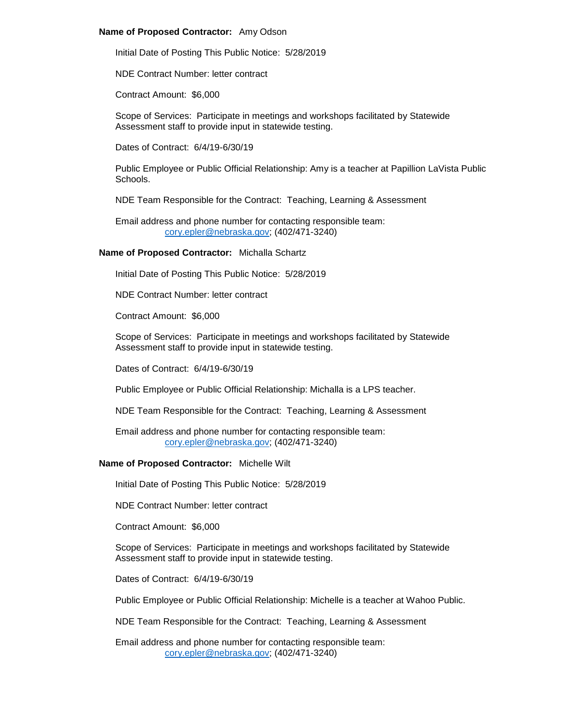## **Name of Proposed Contractor:** Amy Odson

Initial Date of Posting This Public Notice: 5/28/2019

NDE Contract Number: letter contract

Contract Amount: \$6,000

Scope of Services: Participate in meetings and workshops facilitated by Statewide Assessment staff to provide input in statewide testing.

Dates of Contract: 6/4/19-6/30/19

Public Employee or Public Official Relationship: Amy is a teacher at Papillion LaVista Public Schools.

NDE Team Responsible for the Contract: Teaching, Learning & Assessment

Email address and phone number for contacting responsible team: [cory.epler@nebraska.gov;](mailto:cory.epler@nebraska.gov) (402/471-3240)

## **Name of Proposed Contractor:** Michalla Schartz

Initial Date of Posting This Public Notice: 5/28/2019

NDE Contract Number: letter contract

Contract Amount: \$6,000

Scope of Services: Participate in meetings and workshops facilitated by Statewide Assessment staff to provide input in statewide testing.

Dates of Contract: 6/4/19-6/30/19

Public Employee or Public Official Relationship: Michalla is a LPS teacher.

NDE Team Responsible for the Contract: Teaching, Learning & Assessment

Email address and phone number for contacting responsible team: [cory.epler@nebraska.gov;](mailto:cory.epler@nebraska.gov) (402/471-3240)

# **Name of Proposed Contractor:** Michelle Wilt

Initial Date of Posting This Public Notice: 5/28/2019

NDE Contract Number: letter contract

Contract Amount: \$6,000

Scope of Services: Participate in meetings and workshops facilitated by Statewide Assessment staff to provide input in statewide testing.

Dates of Contract: 6/4/19-6/30/19

Public Employee or Public Official Relationship: Michelle is a teacher at Wahoo Public.

NDE Team Responsible for the Contract: Teaching, Learning & Assessment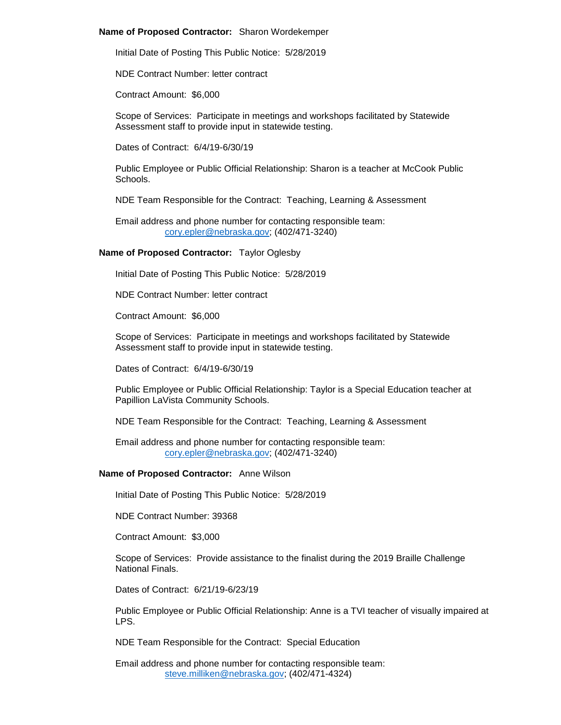### **Name of Proposed Contractor:** Sharon Wordekemper

Initial Date of Posting This Public Notice: 5/28/2019

NDE Contract Number: letter contract

Contract Amount: \$6,000

Scope of Services: Participate in meetings and workshops facilitated by Statewide Assessment staff to provide input in statewide testing.

Dates of Contract: 6/4/19-6/30/19

Public Employee or Public Official Relationship: Sharon is a teacher at McCook Public Schools.

NDE Team Responsible for the Contract: Teaching, Learning & Assessment

Email address and phone number for contacting responsible team: [cory.epler@nebraska.gov;](mailto:cory.epler@nebraska.gov) (402/471-3240)

#### **Name of Proposed Contractor:** Taylor Oglesby

Initial Date of Posting This Public Notice: 5/28/2019

NDE Contract Number: letter contract

Contract Amount: \$6,000

Scope of Services: Participate in meetings and workshops facilitated by Statewide Assessment staff to provide input in statewide testing.

Dates of Contract: 6/4/19-6/30/19

Public Employee or Public Official Relationship: Taylor is a Special Education teacher at Papillion LaVista Community Schools.

NDE Team Responsible for the Contract: Teaching, Learning & Assessment

Email address and phone number for contacting responsible team: [cory.epler@nebraska.gov;](mailto:cory.epler@nebraska.gov) (402/471-3240)

#### **Name of Proposed Contractor:** Anne Wilson

Initial Date of Posting This Public Notice: 5/28/2019

NDE Contract Number: 39368

Contract Amount: \$3,000

Scope of Services: Provide assistance to the finalist during the 2019 Braille Challenge National Finals.

Dates of Contract: 6/21/19-6/23/19

Public Employee or Public Official Relationship: Anne is a TVI teacher of visually impaired at LPS.

NDE Team Responsible for the Contract: Special Education